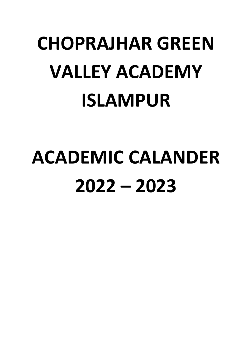# **CHOPRAJHAR GREEN VALLEY ACADEMY ISLAMPUR**

# **ACADEMIC CALANDER 2022 – 2023**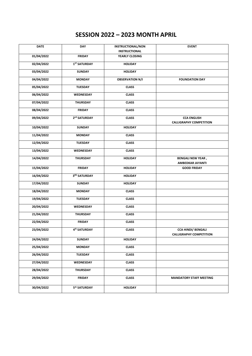# **SESSION 2022 – 2023 MONTH APRIL**

| <b>DATE</b> | <b>DAY</b>               | <b>INSTRUCTIONAL/NON</b> | <b>EVENT</b>                                                |
|-------------|--------------------------|--------------------------|-------------------------------------------------------------|
|             |                          | <b>INSTRUCTIONAL</b>     |                                                             |
| 01/04/2022  | <b>FRIDAY</b>            | YEARLY CLOSING           |                                                             |
| 02/04/2022  | 1 <sup>ST</sup> SATURDAY | <b>HOLIDAY</b>           |                                                             |
| 03/04/2022  | <b>SUNDAY</b>            | <b>HOLIDAY</b>           |                                                             |
| 04/04/2022  | <b>MONDAY</b>            | <b>OBSERVATION N/I</b>   | <b>FOUNDATION DAY</b>                                       |
| 05/04/2022  | <b>TUESDAY</b>           | <b>CLASS</b>             |                                                             |
| 06/04/2022  | WEDNESDAY                | <b>CLASS</b>             |                                                             |
| 07/04/2022  | <b>THURSDAY</b>          | <b>CLASS</b>             |                                                             |
| 08/04/2022  | <b>FRIDAY</b>            | <b>CLASS</b>             |                                                             |
| 09/04/2022  | 2 <sup>nd</sup> SATURDAY | <b>CLASS</b>             | <b>CCA ENGLISH</b><br><b>CALLIGRAPHY COMPETITION</b>        |
| 10/04/2022  | <b>SUNDAY</b>            | <b>HOLIDAY</b>           |                                                             |
| 11/04/2022  | <b>MONDAY</b>            | <b>CLASS</b>             |                                                             |
| 12/04/2022  | <b>TUESDAY</b>           | <b>CLASS</b>             |                                                             |
| 13/04/2022  | WEDNESDAY                | <b>CLASS</b>             |                                                             |
| 14/04/2022  | <b>THURSDAY</b>          | <b>HOLIDAY</b>           | <b>BENGALI NEW YEAR,</b><br>AMBEDKAR JAYANTI                |
| 15/04/2022  | <b>FRIDAY</b>            | <b>HOLIDAY</b>           | <b>GOOD FRIDAY</b>                                          |
| 16/04/2022  | 3RD SATURDAY             | <b>HOLIDAY</b>           |                                                             |
| 17/04/2022  | <b>SUNDAY</b>            | <b>HOLIDAY</b>           |                                                             |
| 18/04/2022  | <b>MONDAY</b>            | <b>CLASS</b>             |                                                             |
| 19/04/2022  | <b>TUESDAY</b>           | <b>CLASS</b>             |                                                             |
| 20/04/2022  | WEDNESDAY                | <b>CLASS</b>             |                                                             |
| 21/04/2022  | <b>THURSDAY</b>          | <b>CLASS</b>             |                                                             |
| 22/04/2022  | <b>FRIDAY</b>            | <b>CLASS</b>             |                                                             |
| 23/04/2022  | 4 <sup>th</sup> SATURDAY | <b>CLASS</b>             | <b>CCA HINDI/ BENGALI</b><br><b>CALLIGRAPHY COMPETITION</b> |
| 24/04/2022  | <b>SUNDAY</b>            | <b>HOLIDAY</b>           |                                                             |
| 25/04/2022  | <b>MONDAY</b>            | <b>CLASS</b>             |                                                             |
| 26/04/2022  | <b>TUESDAY</b>           | <b>CLASS</b>             |                                                             |
| 27/04/2022  | WEDNESDAY                | <b>CLASS</b>             |                                                             |
| 28/04/2022  | <b>THURSDAY</b>          | <b>CLASS</b>             |                                                             |
| 29/04/2022  | <b>FRIDAY</b>            | <b>CLASS</b>             | <b>MANDATORY STAFF MEETING</b>                              |
| 30/04/2022  | 5th SATURDAY             | <b>HOLIDAY</b>           |                                                             |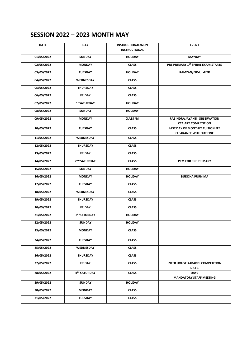## **SESSION 2022 – 2023 MONTH MAY**

| <b>DATE</b> | <b>DAY</b>               | <b>INSTRUCTIONAL/NON</b><br><b>INSTRUCTIONAL</b> | <b>EVENT</b>                                                     |
|-------------|--------------------------|--------------------------------------------------|------------------------------------------------------------------|
| 01/05/2022  | <b>SUNDAY</b>            | <b>HOLIDAY</b>                                   | <b>MAYDAY</b>                                                    |
| 02/05/2022  | <b>MONDAY</b>            | <b>CLASS</b>                                     | PRE PRIMARY 1ST SPIRAL EXAM STARTS                               |
| 03/05/2022  | <b>TUESDAY</b>           | <b>HOLIDAY</b>                                   | RAMZAN/EID-UL-FITR                                               |
| 04/05/2022  | WEDNESDAY                | <b>CLASS</b>                                     |                                                                  |
| 05/05/2022  | <b>THURSDAY</b>          | <b>CLASS</b>                                     |                                                                  |
| 06/05/2022  | <b>FRIDAY</b>            | <b>CLASS</b>                                     |                                                                  |
| 07/05/2022  | 1stSATURDAY              | <b>HOLIDAY</b>                                   |                                                                  |
| 08/05/2022  | <b>SUNDAY</b>            | <b>HOLIDAY</b>                                   |                                                                  |
| 09/05/2022  | <b>MONDAY</b>            | CLASS N/I                                        | RABINDRA JAYANTI OBSERVATION<br><b>CCA ART COMPETITION</b>       |
| 10/05/2022  | <b>TUESDAY</b>           | <b>CLASS</b>                                     | LAST DAY OF MONTHLY TUITION FEE<br><b>CLEARANCE WITHOUT FINE</b> |
| 11/05/2022  | WEDNESDAY                | <b>CLASS</b>                                     |                                                                  |
| 12/05/2022  | <b>THURSDAY</b>          | <b>CLASS</b>                                     |                                                                  |
| 13/05/2022  | <b>FRIDAY</b>            | <b>CLASS</b>                                     |                                                                  |
| 14/05/2022  | 2 <sup>ND</sup> SATURDAY | <b>CLASS</b>                                     | PTM FOR PRE PRIMARY                                              |
| 15/05/2022  | <b>SUNDAY</b>            | <b>HOLIDAY</b>                                   |                                                                  |
| 16/05/2022  | <b>MONDAY</b>            | <b>HOLIDAY</b>                                   | <b>BUDDHA PURNIMA</b>                                            |
| 17/05/2022  | <b>TUESDAY</b>           | <b>CLASS</b>                                     |                                                                  |
| 18/05/2022  | WEDNESDAY                | <b>CLASS</b>                                     |                                                                  |
| 19/05/2022  | <b>THURSDAY</b>          | <b>CLASS</b>                                     |                                                                  |
| 20/05/2022  | <b>FRIDAY</b>            | <b>CLASS</b>                                     |                                                                  |
| 21/05/2022  | 3RDSATURDAY              | <b>HOLIDAY</b>                                   |                                                                  |
| 22/05/2022  | <b>SUNDAY</b>            | <b>HOLIDAY</b>                                   |                                                                  |
| 23/05/2022  | <b>MONDAY</b>            | <b>CLASS</b>                                     |                                                                  |
| 24/05/2022  | <b>TUESDAY</b>           | <b>CLASS</b>                                     |                                                                  |
| 25/05/2022  | WEDNESDAY                | <b>CLASS</b>                                     |                                                                  |
| 26/05/2022  | THURSDAY                 | <b>CLASS</b>                                     |                                                                  |
| 27/05/2022  | <b>FRIDAY</b>            | <b>CLASS</b>                                     | <b>INTER HOUSE KABADDI COMPETITION</b><br>DAY 1                  |
| 28/05/2022  | 4TH SATURDAY             | <b>CLASS</b>                                     | DAY2<br><b>MANDATORY STAFF MEETING</b>                           |
| 29/05/2022  | <b>SUNDAY</b>            | <b>HOLIDAY</b>                                   |                                                                  |
| 30/05/2022  | <b>MONDAY</b>            | <b>CLASS</b>                                     |                                                                  |
| 31/05/2022  | TUESDAY                  | <b>CLASS</b>                                     |                                                                  |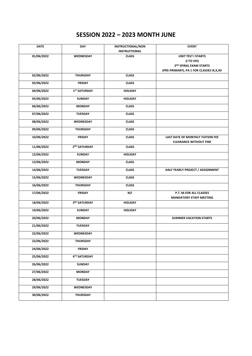# **SESSION 2022 – 2023 MONTH JUNE**

| <b>DATE</b> | <b>DAY</b>               | <b>INSTRUCTIONAL/NON</b> | <b>EVENT</b>                                                      |
|-------------|--------------------------|--------------------------|-------------------------------------------------------------------|
|             |                          | <b>INSTRUCTIONAL</b>     |                                                                   |
| 01/06/2022  | WEDNESDAY                | <b>CLASS</b>             | <b>UNIT TEST I STARTS</b>                                         |
|             |                          |                          | (I TO VIII)<br>2 <sup>ND</sup> SPIRAL EXAM STARTS                 |
|             |                          |                          |                                                                   |
| 02/06/2022  | <b>THURSDAY</b>          | <b>CLASS</b>             | (PRE-PRIMARY), PA 1 FOR CLASSES IX, X, XII                        |
|             |                          |                          |                                                                   |
| 03/06/2022  | <b>FRIDAY</b>            | <b>CLASS</b>             |                                                                   |
| 04/06/2022  | 1 <sup>ST</sup> SATURDAY | <b>HOLIDAY</b>           |                                                                   |
| 05/06/2022  | <b>SUNDAY</b>            | <b>HOLIDAY</b>           |                                                                   |
| 06/06/2022  | <b>MONDAY</b>            | <b>CLASS</b>             |                                                                   |
| 07/06/2022  | <b>TUESDAY</b>           | <b>CLASS</b>             |                                                                   |
| 08/06/2022  | WEDNESDAY                | <b>CLASS</b>             |                                                                   |
| 09/06/2022  | <b>THURSDAY</b>          | <b>CLASS</b>             |                                                                   |
| 10/06/2022  | <b>FRIDAY</b>            | <b>CLASS</b>             | LAST DATE OF MONTHLY TUITION FEE<br><b>CLEARANCE WITHOUT FINE</b> |
| 11/06/2022  | 2 <sup>ND</sup> SATURDAY | <b>CLASS</b>             |                                                                   |
| 12/06/2022  | <b>SUNDAY</b>            | <b>HOLIDAY</b>           |                                                                   |
|             |                          |                          |                                                                   |
| 13/06/2022  | <b>MONDAY</b>            | <b>CLASS</b>             |                                                                   |
| 14/06/2022  | <b>TUESDAY</b>           | <b>CLASS</b>             | HALF YEARLY PROJECT / ASSIGNMENT                                  |
| 15/06/2022  | WEDNESDAY                | <b>CLASS</b>             |                                                                   |
| 16/06/2022  | <b>THURSDAY</b>          | <b>CLASS</b>             |                                                                   |
| 17/06/2022  | <b>FRIDAY</b>            | N/I                      | P.T. M.FOR ALL CLASSES<br><b>MANDATORY STAFF MEETING</b>          |
| 18/06/2022  | 3RD SATURDAY             | <b>HOLIDAY</b>           |                                                                   |
| 19/06/2022  | <b>SUNDAY</b>            | <b>HOLIDAY</b>           |                                                                   |
| 20/06/2022  | <b>MONDAY</b>            |                          | <b>SUMMER VACATION STARTS</b>                                     |
| 21/06/2022  | <b>TUESDAY</b>           |                          |                                                                   |
| 22/06/2022  | WEDNESDAY                |                          |                                                                   |
| 23/06/2022  | <b>THURSDAY</b>          |                          |                                                                   |
| 24/06/2022  | <b>FRIDAY</b>            |                          |                                                                   |
| 25/06/2022  | 4TH SATURDAY             |                          |                                                                   |
| 26/06/2022  | SUNDAY                   |                          |                                                                   |
| 27/06/2022  | <b>MONDAY</b>            |                          |                                                                   |
| 28/06/2022  | <b>TUESDAY</b>           |                          |                                                                   |
| 29/06/2022  | <b>WEDNESDAY</b>         |                          |                                                                   |
| 30/06/2022  | <b>THURSDAY</b>          |                          |                                                                   |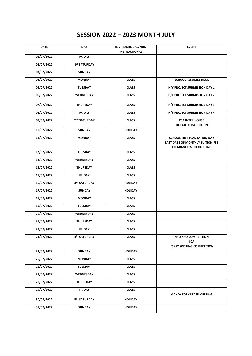# **SESSION 2022 – 2023 MONTH JULY**

| <b>DATE</b> | <b>DAY</b>               | <b>INSTRUCTIONAL/NON</b><br><b>INSTRUCTIONAL</b> | <b>EVENT</b>                                                                                     |
|-------------|--------------------------|--------------------------------------------------|--------------------------------------------------------------------------------------------------|
| 01/07/2022  | <b>FRIDAY</b>            |                                                  |                                                                                                  |
| 02/07/2022  | 1 <sup>ST</sup> SATURDAY |                                                  |                                                                                                  |
| 03/07/2022  | <b>SUNDAY</b>            |                                                  |                                                                                                  |
| 04/07/2022  | <b>MONDAY</b>            | <b>CLASS</b>                                     | <b>SCHOOL RESUMES BACK</b>                                                                       |
| 05/07/2022  | <b>TUESDAY</b>           | <b>CLASS</b>                                     | H/Y PROJECT SUBMISSION DAY 1                                                                     |
| 06/07/2022  | WEDNESDAY                | <b>CLASS</b>                                     | H/Y PROJECT SUBMISSION DAY 2                                                                     |
| 07/07/2022  | <b>THURSDAY</b>          | <b>CLASS</b>                                     | H/Y PROJECT SUBMISSION DAY 3                                                                     |
| 08/07/2022  | <b>FRIDAY</b>            | <b>CLASS</b>                                     | H/Y PROJECT SUBMISSION DAY 4                                                                     |
| 09/07/2022  | 2 <sup>ND</sup> SATURDAY | <b>CLASS</b>                                     | <b>CCA INTER HOUSE</b><br><b>DEBATE COMPETITION</b>                                              |
| 10/07/2022  | <b>SUNDAY</b>            | <b>HOLIDAY</b>                                   |                                                                                                  |
| 11/07/2022  | <b>MONDAY</b>            | <b>CLASS</b>                                     | SCHOOL TREE PLANTATION DAY<br>LAST DATE OF MONTHLY TUITION FEE<br><b>CLEARANCE WITH OUT FINE</b> |
| 12/07/2022  | <b>TUESDAY</b>           | <b>CLASS</b>                                     |                                                                                                  |
| 13/07/2022  | WEDNESDAY                | <b>CLASS</b>                                     |                                                                                                  |
| 14/07/2022  | <b>THURSDAY</b>          | <b>CLASS</b>                                     |                                                                                                  |
| 15/07/2022  | <b>FRIDAY</b>            | <b>CLASS</b>                                     |                                                                                                  |
| 16/07/2022  | 3RD SATURDAY             | <b>HOLIDAY</b>                                   |                                                                                                  |
| 17/07/2022  | <b>SUNDAY</b>            | <b>HOLIDAY</b>                                   |                                                                                                  |
| 18/07/2022  | <b>MONDAY</b>            | <b>CLASS</b>                                     |                                                                                                  |
| 19/07/2022  | <b>TUESDAY</b>           | <b>CLASS</b>                                     |                                                                                                  |
| 20/07/2022  | WEDNESDAY                | <b>CLASS</b>                                     |                                                                                                  |
| 21/07/2022  | <b>THURSDAY</b>          | <b>CLASS</b>                                     |                                                                                                  |
| 22/07/2022  | <b>FRIDAY</b>            | <b>CLASS</b>                                     |                                                                                                  |
| 23/07/2022  | 4TH SATURDAY             | <b>CLASS</b>                                     | KHO KHO COMPETITION<br><b>CCA</b><br><b>ESSAY WRITING COMPETITION</b>                            |
| 24/07/2022  | <b>SUNDAY</b>            | <b>HOLIDAY</b>                                   |                                                                                                  |
| 25/07/2022  | MONDAY                   | <b>CLASS</b>                                     |                                                                                                  |
| 26/07/2022  | <b>TUESDAY</b>           | <b>CLASS</b>                                     |                                                                                                  |
| 27/07/2022  | WEDNESDAY                | <b>CLASS</b>                                     |                                                                                                  |
| 28/07/2022  | <b>THURSDAY</b>          | <b>CLASS</b>                                     |                                                                                                  |
| 29/07/2022  | <b>FRIDAY</b>            | <b>CLASS</b>                                     | <b>MANDATORY STAFF MEETING</b>                                                                   |
| 30/07/2022  | 5™ SATURDAY              | <b>HOLIDAY</b>                                   |                                                                                                  |
| 31/07/2022  | <b>SUNDAY</b>            | <b>HOLIDAY</b>                                   |                                                                                                  |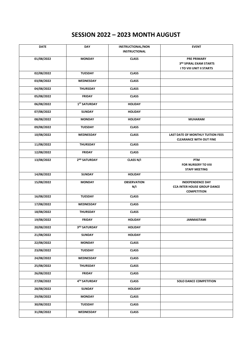# **SESSION 2022 – 2023 MONTH AUGUST**

| <b>DATE</b> | <b>DAY</b>               | <b>INSTRUCTIONAL/NON</b><br><b>INSTRUCTIONAL</b> | <b>EVENT</b>                                                                        |
|-------------|--------------------------|--------------------------------------------------|-------------------------------------------------------------------------------------|
| 01/08/2022  | <b>MONDAY</b>            | <b>CLASS</b>                                     | <b>PRE PRIMARY</b><br>3RD SPIRAL EXAM STARTS<br><b>I TO VIII UNIT II STARTS</b>     |
| 02/08/2022  | <b>TUESDAY</b>           | <b>CLASS</b>                                     |                                                                                     |
| 03/08/2022  | WEDNESDAY                | <b>CLASS</b>                                     |                                                                                     |
| 04/08/2022  | <b>THURSDAY</b>          | <b>CLASS</b>                                     |                                                                                     |
| 05/08/2022  | <b>FRIDAY</b>            | <b>CLASS</b>                                     |                                                                                     |
| 06/08/2022  | 1 <sup>ST</sup> SATURDAY | <b>HOLIDAY</b>                                   |                                                                                     |
| 07/08/2022  | <b>SUNDAY</b>            | <b>HOLIDAY</b>                                   |                                                                                     |
| 08/08/2022  | <b>MONDAY</b>            | <b>HOLIDAY</b>                                   | <b>MUHARAM</b>                                                                      |
| 09/08/2022  | <b>TUESDAY</b>           | <b>CLASS</b>                                     |                                                                                     |
| 10/08/2022  | <b>WEDNESDAY</b>         | <b>CLASS</b>                                     | LAST DATE OF MONTHLY TUITION FEES<br><b>CLEARANCE WITH OUT FINE</b>                 |
| 11/08/2022  | <b>THURSDAY</b>          | <b>CLASS</b>                                     |                                                                                     |
| 12/08/2022  | <b>FRIDAY</b>            | <b>CLASS</b>                                     |                                                                                     |
| 13/08/2022  | 2 <sup>ND</sup> SATURDAY | <b>CLASS N/I</b>                                 | PTM<br>FOR NURSERY TO VIII<br><b>STAFF MEETING</b>                                  |
| 14/08/2022  | <b>SUNDAY</b>            | <b>HOLIDAY</b>                                   |                                                                                     |
| 15/08/2022  | <b>MONDAY</b>            | <b>OBSERVATION</b><br>N/I                        | <b>INDEPENDENCE DAY</b><br><b>CCA INTER HOUSE GROUP DANCE</b><br><b>COMPETITION</b> |
| 16/08/2022  | <b>TUESDAY</b>           | <b>CLASS</b>                                     |                                                                                     |
| 17/08/2022  | <b>WEDNESDAY</b>         | <b>CLASS</b>                                     |                                                                                     |
| 18/08/2022  | <b>THURSDAY</b>          | <b>CLASS</b>                                     |                                                                                     |
| 19/08/2022  | <b>FRIDAY</b>            | <b>HOLIDAY</b>                                   | <b>JANMASTAMI</b>                                                                   |
| 20/08/2022  | 3RD SATURDAY             | <b>HOLIDAY</b>                                   |                                                                                     |
| 21/08/2022  | <b>SUNDAY</b>            | <b>HOLIDAY</b>                                   |                                                                                     |
| 22/08/2022  | <b>MONDAY</b>            | <b>CLASS</b>                                     |                                                                                     |
| 23/08/2022  | <b>TUESDAY</b>           | <b>CLASS</b>                                     |                                                                                     |
| 24/08/2022  | WEDNESDAY                | <b>CLASS</b>                                     |                                                                                     |
| 25/08/2022  | <b>THURSDAY</b>          | <b>CLASS</b>                                     |                                                                                     |
| 26/08/2022  | <b>FRIDAY</b>            | <b>CLASS</b>                                     |                                                                                     |
| 27/08/2022  | 4TH SATURDAY             | <b>CLASS</b>                                     | <b>SOLO DANCE COMPETITION</b>                                                       |
| 28/08/2022  | <b>SUNDAY</b>            | <b>HOLIDAY</b>                                   |                                                                                     |
| 29/08/2022  | <b>MONDAY</b>            | <b>CLASS</b>                                     |                                                                                     |
| 30/08/2022  | <b>TUESDAY</b>           | <b>CLASS</b>                                     |                                                                                     |
| 31/08/2022  | WEDNESDAY                | <b>CLASS</b>                                     |                                                                                     |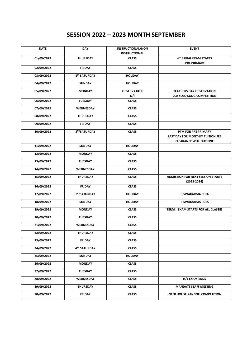## **SESSION 2022 – 2023 MONTH SEPTEMBER**

| <b>DATE</b> | <b>DAY</b>               | <b>INSTRUCTIONAL/NON</b><br><b>INSTRUCTIONAL</b> | <b>EVENT</b>                                                |
|-------------|--------------------------|--------------------------------------------------|-------------------------------------------------------------|
|             |                          |                                                  |                                                             |
| 01/09/2022  | <b>THURSDAY</b>          | <b>CLASS</b>                                     | 4TH SPIRAL EXAM STARTS<br><b>PRE PRIMARY</b>                |
| 02/09/2022  | <b>FRIDAY</b>            | <b>CLASS</b>                                     |                                                             |
| 03/09/2022  | 1 <sup>ST</sup> SATURDAY | <b>HOLIDAY</b>                                   |                                                             |
| 04/09/2022  | <b>SUNDAY</b>            | <b>HOLIDAY</b>                                   |                                                             |
| 05/09/2022  | <b>MONDAY</b>            | <b>OBSERVATION</b>                               | <b>TEACHERS DAY OBSERVATION</b>                             |
|             |                          | N/I                                              | <b>CCA SOLO SONG COMPETITION</b>                            |
| 06/09/2022  | <b>TUESDAY</b>           | <b>CLASS</b>                                     |                                                             |
| 07/09/2022  | WEDNESDAY                | <b>CLASS</b>                                     |                                                             |
| 08/09/2022  | <b>THURSDAY</b>          | <b>CLASS</b>                                     |                                                             |
| 09/09/2022  | <b>FRIDAY</b>            | <b>CLASS</b>                                     |                                                             |
| 10/09/2022  | 2NDSATURDAY              | <b>CLASS</b>                                     | PTM FOR PRE PRIMARY                                         |
|             |                          |                                                  | LAST DAY FOR MONTHLY TUITION FEE                            |
|             |                          |                                                  | <b>CLEARANCE WITHOUT FINE</b>                               |
| 11/09/2022  | <b>SUNDAY</b>            | <b>HOLIDAY</b>                                   |                                                             |
| 12/09/2022  | <b>MONDAY</b>            | <b>CLASS</b>                                     |                                                             |
| 13/09/2022  | <b>TUESDAY</b>           | <b>CLASS</b>                                     |                                                             |
| 14/09/2022  | WEDNESDAY                | <b>CLASS</b>                                     |                                                             |
| 15/09/2022  | <b>THURSDAY</b>          | <b>CLASS</b>                                     | <b>ADMISSION FOR NEXT SESSION STARTS</b><br>$(2023 - 2024)$ |
| 16/09/2022  | <b>FRIDAY</b>            | <b>CLASS</b>                                     |                                                             |
| 17/09/2022  | 3RDSATURDAY              | <b>HOLIDAY</b>                                   | <b>BISWAKARMA PUJA</b>                                      |
| 18/09/2022  | <b>SUNDAY</b>            | <b>HOLIDAY</b>                                   | <b>BISWAKARMA PUJA</b>                                      |
| 19/09/2022  | <b>MONDAY</b>            | <b>CLASS</b>                                     | TERM I EXAM STARTS FOR ALL CLASSES                          |
| 20/09/2022  | <b>TUESDAY</b>           | <b>CLASS</b>                                     |                                                             |
| 21/09/2022  | WEDNESDAY                | <b>CLASS</b>                                     |                                                             |
| 22/09/2022  | <b>THURSDAY</b>          | <b>CLASS</b>                                     |                                                             |
| 23/09/2022  | <b>FRIDAY</b>            | <b>CLASS</b>                                     |                                                             |
| 24/09/2022  | 4TH SATURDAY             | <b>CLASS</b>                                     |                                                             |
| 25/09/2022  | <b>SUNDAY</b>            | <b>HOLIDAY</b>                                   |                                                             |
| 26/09/2022  | <b>MONDAY</b>            | <b>CLASS</b>                                     |                                                             |
| 27/09/2022  | <b>TUESDAY</b>           | <b>CLASS</b>                                     |                                                             |
| 28/09/2022  | WEDNESDAY                | <b>CLASS</b>                                     | H/Y EXAM ENDS                                               |
| 29/09/2022  | <b>THURSDAY</b>          | <b>CLASS</b>                                     | <b>MANDATE STAFF MEETING</b>                                |
| 30/09/2022  | <b>FRIDAY</b>            | <b>CLASS</b>                                     | <b>INTER HOUSE RANGOLI COMPETITION</b>                      |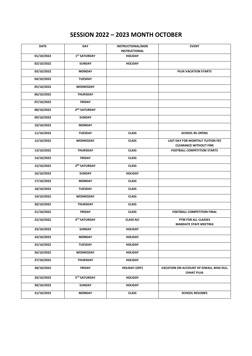# **SESSION 2022 – 2023 MONTH OCTOBER**

| <b>DATE</b> | DAY                      | <b>INSTRUCTIONAL/NON</b>               | <b>EVENT</b>                                                      |
|-------------|--------------------------|----------------------------------------|-------------------------------------------------------------------|
| 01/10/2022  | 1 <sup>ST</sup> SATURDAY | <b>INSTRUCTIONAL</b><br><b>HOLIDAY</b> |                                                                   |
| 02/10/2022  | <b>SUNDAY</b>            | <b>HOLIDAY</b>                         |                                                                   |
| 03/10/2022  | <b>MONDAY</b>            |                                        | <b>PUJA VACATION STARTS</b>                                       |
| 04/10/2022  | <b>TUESDAY</b>           |                                        |                                                                   |
| 05/10/2022  | WEDNESDAY                |                                        |                                                                   |
| 06/10/2022  | <b>THURSDAY</b>          |                                        |                                                                   |
| 07/10/2022  | <b>FRIDAY</b>            |                                        |                                                                   |
| 08/10/2022  | 2 <sup>ND</sup> SATURDAY |                                        |                                                                   |
| 09/10/2022  | <b>SUNDAY</b>            |                                        |                                                                   |
| 10/10/2022  | <b>MONDAY</b>            |                                        |                                                                   |
| 11/10/2022  | <b>TUESDAY</b>           | <b>CLASS</b>                           | <b>SCHOOL RE-OPENS</b>                                            |
| 12/10/2022  | <b>WEDNESDAY</b>         | <b>CLASS</b>                           | LAST DAY FOR MONTHLY TUITION FEE<br><b>CLEARANCE WITHOUT FINE</b> |
| 13/10/2022  | <b>THURSDAY</b>          | <b>CLASS</b>                           | <b>FOOTBALL COMPETITION STARTS</b>                                |
| 14/10/2022  | <b>FRIDAY</b>            | <b>CLASS</b>                           |                                                                   |
| 15/10/2022  | 3RD SATURDAY             | <b>CLASS</b>                           |                                                                   |
| 16/10/2022  | <b>SUNDAY</b>            | <b>HOLIDAY</b>                         |                                                                   |
| 17/10/2022  | <b>MONDAY</b>            | <b>CLASS</b>                           |                                                                   |
| 18/10/2022  | <b>TUESDAY</b>           | <b>CLASS</b>                           |                                                                   |
| 19/10/2022  | WEDNESDAY                | <b>CLASS</b>                           |                                                                   |
| 20/10/2022  | <b>THURSDAY</b>          | <b>CLASS</b>                           |                                                                   |
| 21/10/2022  | <b>FRIDAY</b>            | <b>CLASS</b>                           | <b>FOOTBALL COMPETITION FINAL</b>                                 |
| 22/10/2022  | 4™ SATURDAY              | CLASS N/I                              | PTM FOR ALL CLASSES<br><b>MANDATE STAFF MEETING</b>               |
| 23/10/2022  | <b>SUNDAY</b>            | <b>HOLIDAY</b>                         |                                                                   |
| 24/10/2022  | <b>MONDAY</b>            | <b>HOLIDAY</b>                         |                                                                   |
| 25/10/2022  | TUESDAY                  | <b>HOLIDAY</b>                         |                                                                   |
| 26/10/2022  | WEDNESDAY                | <b>HOLIDAY</b>                         |                                                                   |
| 27/10/2022  | <b>THURSDAY</b>          | <b>HOLIDAY</b>                         |                                                                   |
| 28/10/2022  | <b>FRIDAY</b>            | <b>HOLIDAY (OFF)</b>                   | VACATION ON ACCOUNT OF DIWALI, BHAI DUJ,<br><b>CHHAT PUJA</b>     |
| 29/10/2022  | 5TH SATURDAY             | <b>HOLIDAY</b>                         |                                                                   |
| 30/10/2022  | <b>SUNDAY</b>            | <b>HOLIDAY</b>                         |                                                                   |
| 31/10/2022  | <b>MONDAY</b>            | <b>CLASS</b>                           | <b>SCHOOL RESUMES</b>                                             |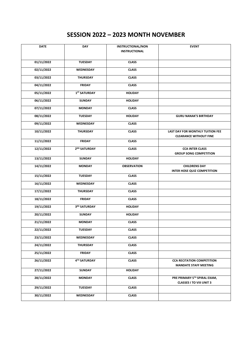# **SESSION 2022 – 2023 MONTH NOVEMBER**

| <b>DATE</b> | <b>DAY</b>               | <b>INSTRUCTIONAL/NON</b><br><b>INSTRUCTIONAL</b> | <b>EVENT</b>                                                             |
|-------------|--------------------------|--------------------------------------------------|--------------------------------------------------------------------------|
| 01/11/2022  | <b>TUESDAY</b>           | <b>CLASS</b>                                     |                                                                          |
| 02/11/2022  | WEDNESDAY                | <b>CLASS</b>                                     |                                                                          |
| 03/11/2022  | <b>THURSDAY</b>          | <b>CLASS</b>                                     |                                                                          |
| 04/11/2022  | <b>FRIDAY</b>            | <b>CLASS</b>                                     |                                                                          |
| 05/11/2022  | 1 <sup>ST</sup> SATURDAY | <b>HOLIDAY</b>                                   |                                                                          |
| 06/11/2022  | <b>SUNDAY</b>            | <b>HOLIDAY</b>                                   |                                                                          |
| 07/11/2022  | <b>MONDAY</b>            | <b>CLASS</b>                                     |                                                                          |
| 08/11/2022  | <b>TUESDAY</b>           | <b>HOLIDAY</b>                                   | <b>GURU NANAK'S BIRTHDAY</b>                                             |
| 09/11/2022  | WEDNESDAY                | <b>CLASS</b>                                     |                                                                          |
| 10/11/2022  | <b>THURSDAY</b>          | <b>CLASS</b>                                     | <b>LAST DAY FOR MONTHLY TUITION FEE</b><br><b>CLEARANCE WITHOUT FINE</b> |
| 11/11/2022  | <b>FRIDAY</b>            | <b>CLASS</b>                                     |                                                                          |
| 12/11/2022  | 2 <sup>ND</sup> SATURDAY | <b>CLASS</b>                                     | <b>CCA INTER CLASS</b><br><b>GROUP SONG COMPETITION</b>                  |
| 13/11/2022  | <b>SUNDAY</b>            | <b>HOLIDAY</b>                                   |                                                                          |
| 14/11/2022  | <b>MONDAY</b>            | <b>OBSERVATION</b>                               | <b>CHILDRENS DAY</b><br><b>INTER HOSE QUIZ COMPETITION</b>               |
| 15/11/2022  | <b>TUESDAY</b>           | <b>CLASS</b>                                     |                                                                          |
| 16/11/2022  | WEDNESDAY                | <b>CLASS</b>                                     |                                                                          |
| 17/11/2022  | <b>THURSDAY</b>          | <b>CLASS</b>                                     |                                                                          |
| 18/11/2022  | <b>FRIDAY</b>            | <b>CLASS</b>                                     |                                                                          |
| 19/11/2022  | 3RD SATURDAY             | <b>HOLIDAY</b>                                   |                                                                          |
| 20/11/2022  | <b>SUNDAY</b>            | <b>HOLIDAY</b>                                   |                                                                          |
| 21/11/2022  | <b>MONDAY</b>            | <b>CLASS</b>                                     |                                                                          |
| 22/11/2022  | <b>TUESDAY</b>           | <b>CLASS</b>                                     |                                                                          |
| 23/11/2022  | WEDNESDAY                | <b>CLASS</b>                                     |                                                                          |
| 24/11/2022  | <b>THURSDAY</b>          | <b>CLASS</b>                                     |                                                                          |
| 25/11/2022  | <b>FRIDAY</b>            | <b>CLASS</b>                                     |                                                                          |
| 26/11/2022  | 4TH SATURDAY             | <b>CLASS</b>                                     | <b>CCA RECITATION COMPETITION</b><br><b>MANDATE STAFF MEETING</b>        |
| 27/11/2022  | <b>SUNDAY</b>            | <b>HOLIDAY</b>                                   |                                                                          |
| 28/11/2022  | <b>MONDAY</b>            | <b>CLASS</b>                                     | PRE PRIMARY 5TH SPIRAL EXAM,<br><b>CLASSES I TO VIII UNIT 3</b>          |
| 29/11/2022  | <b>TUESDAY</b>           | <b>CLASS</b>                                     |                                                                          |
| 30/11/2022  | WEDNESDAY                | <b>CLASS</b>                                     |                                                                          |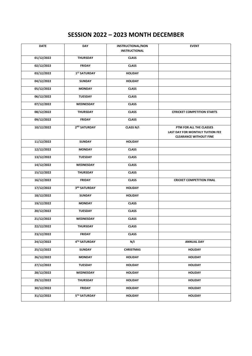# **SESSION 2022 – 2023 MONTH DECEMBER**

| <b>DATE</b> | DAY                      | <b>INSTRUCTIONAL/NON</b> | <b>EVENT</b>                                                                                        |
|-------------|--------------------------|--------------------------|-----------------------------------------------------------------------------------------------------|
|             |                          | <b>INSTRUCTIONAL</b>     |                                                                                                     |
| 01/12/2022  | <b>THURSDAY</b>          | <b>CLASS</b>             |                                                                                                     |
| 02/12/2022  | <b>FRIDAY</b>            | <b>CLASS</b>             |                                                                                                     |
| 03/12/2022  | 1 <sup>ST</sup> SATURDAY | <b>HOLIDAY</b>           |                                                                                                     |
| 04/12/2022  | <b>SUNDAY</b>            | <b>HOLIDAY</b>           |                                                                                                     |
| 05/12/2022  | <b>MONDAY</b>            | <b>CLASS</b>             |                                                                                                     |
| 06/12/2022  | <b>TUESDAY</b>           | <b>CLASS</b>             |                                                                                                     |
| 07/12/2022  | WEDNESDAY                | <b>CLASS</b>             |                                                                                                     |
| 08/12/2022  | <b>THURSDAY</b>          | <b>CLASS</b>             | <b>CFRICKET COMPETITION STARTS</b>                                                                  |
| 09/12/2022  | <b>FRIDAY</b>            | <b>CLASS</b>             |                                                                                                     |
| 10/12/2022  | 2 <sup>ND</sup> SATURDAY | CLASS N/I                | PTM FOR ALL THE CLASSES<br><b>LAST DAY FOR MONTHLY TUITION FEE</b><br><b>CLEARANCE WITHOUT FINE</b> |
| 11/12/2022  | <b>SUNDAY</b>            | <b>HOLIDAY</b>           |                                                                                                     |
| 12/12/2022  | <b>MONDAY</b>            | <b>CLASS</b>             |                                                                                                     |
| 13/12/2022  | <b>TUESDAY</b>           | <b>CLASS</b>             |                                                                                                     |
| 14/12/2022  | WEDNESDAY                | <b>CLASS</b>             |                                                                                                     |
| 15/12/2022  | <b>THURSDAY</b>          | <b>CLASS</b>             |                                                                                                     |
| 16/12/2022  | <b>FRIDAY</b>            | <b>CLASS</b>             | <b>CRICKET COMPETITION FINAL</b>                                                                    |
| 17/12/2022  | 3RD SATURDAY             | <b>HOLIDAY</b>           |                                                                                                     |
| 18/12/2022  | <b>SUNDAY</b>            | <b>HOLIDAY</b>           |                                                                                                     |
| 19/12/2022  | <b>MONDAY</b>            | <b>CLASS</b>             |                                                                                                     |
| 20/12/2022  | <b>TUESDAY</b>           | <b>CLASS</b>             |                                                                                                     |
| 21/12/2022  | WEDNESDAY                | <b>CLASS</b>             |                                                                                                     |
| 22/12/2022  | <b>THURSDAY</b>          | <b>CLASS</b>             |                                                                                                     |
| 23/12/2022  | <b>FRIDAY</b>            | <b>CLASS</b>             |                                                                                                     |
| 24/12/2022  | 4TH SATURDAY             | N/I                      | <b>ANNUAL DAY</b>                                                                                   |
| 25/12/2022  | SUNDAY                   | <b>CHRISTMAS</b>         | <b>HOLIDAY</b>                                                                                      |
| 26/12/2022  | <b>MONDAY</b>            | <b>HOLIDAY</b>           | <b>HOLIDAY</b>                                                                                      |
| 27/12/2022  | TUESDAY                  | <b>HOLIDAY</b>           | <b>HOLIDAY</b>                                                                                      |
| 28/12/2022  | WEDNESDAY                | <b>HOLIDAY</b>           | <b>HOLIDAY</b>                                                                                      |
| 29/12/2022  | <b>THURSDAY</b>          | <b>HOLIDAY</b>           | <b>HOLIDAY</b>                                                                                      |
| 30/12/2022  | FRIDAY                   | <b>HOLIDAY</b>           | <b>HOLIDAY</b>                                                                                      |
| 31/12/2022  | 5TH SATURDAY             | <b>HOLIDAY</b>           | <b>HOLIDAY</b>                                                                                      |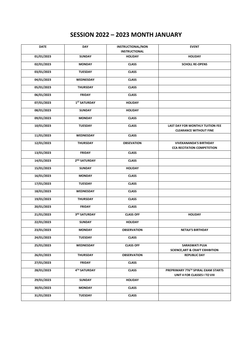# **SESSION 2022 – 2023 MONTH JANUARY**

| <b>DATE</b> | DAY                      | <b>INSTRUCTIONAL/NON</b><br><b>INSTRUCTIONAL</b> | <b>EVENT</b>                                                        |
|-------------|--------------------------|--------------------------------------------------|---------------------------------------------------------------------|
| 01/01/2023  | <b>SUNDAY</b>            | <b>HOLIDAY</b>                                   | <b>HOLIDAY</b>                                                      |
| 02/01/2023  | <b>MONDAY</b>            | <b>CLASS</b>                                     | <b>SCHOLL RE-OPENS</b>                                              |
| 03/01/2023  | <b>TUESDAY</b>           | <b>CLASS</b>                                     |                                                                     |
| 04/01/2023  | WEDNESDAY                | <b>CLASS</b>                                     |                                                                     |
| 05/01/2023  | <b>THURSDAY</b>          | <b>CLASS</b>                                     |                                                                     |
| 06/01/2023  | <b>FRIDAY</b>            | <b>CLASS</b>                                     |                                                                     |
| 07/01/2023  | 1 <sup>ST</sup> SATURDAY | <b>HOLIDAY</b>                                   |                                                                     |
| 08/01/2023  | <b>SUNDAY</b>            | <b>HOLIDAY</b>                                   |                                                                     |
| 09/01/2023  | <b>MONDAY</b>            | <b>CLASS</b>                                     |                                                                     |
| 10/01/2023  | <b>TUESDAY</b>           | <b>CLASS</b>                                     | LAST DAY FOR MONTHLY TUITION FEE<br><b>CLEARANCE WITHOUT FINE</b>   |
| 11/01/2023  | WEDNESDAY                | <b>CLASS</b>                                     |                                                                     |
| 12/01/2023  | <b>THURSDAY</b>          | <b>OBSEVATION</b>                                | <b>VIVEKANANDA'S BIRTHDAY</b><br><b>CCA RECITATION COMPETETION</b>  |
| 13/01/2023  | <b>FRIDAY</b>            | <b>CLASS</b>                                     |                                                                     |
| 14/01/2023  | 2 <sup>ND</sup> SATURDAY | <b>CLASS</b>                                     |                                                                     |
| 15/01/2023  | <b>SUNDAY</b>            | <b>HOLIDAY</b>                                   |                                                                     |
| 16/01/2023  | <b>MONDAY</b>            | <b>CLASS</b>                                     |                                                                     |
| 17/01/2023  | <b>TUESDAY</b>           | <b>CLASS</b>                                     |                                                                     |
| 18/01/2023  | WEDNESDAY                | <b>CLASS</b>                                     |                                                                     |
| 19/01/2023  | <b>THURSDAY</b>          | <b>CLASS</b>                                     |                                                                     |
| 20/01/2023  | <b>FRIDAY</b>            | <b>CLASS</b>                                     |                                                                     |
| 21/01/2023  | 3RD SATURDAY             | <b>CLASS OFF</b>                                 | <b>HOLIDAY</b>                                                      |
| 22/01/2023  | <b>SUNDAY</b>            | <b>HOLIDAY</b>                                   |                                                                     |
| 23/01/2023  | <b>MONDAY</b>            | <b>OBSERVATION</b>                               | <b>NETAJI'S BIRTHDAY</b>                                            |
| 24/01/2023  | TUESDAY                  | <b>CLASS</b>                                     |                                                                     |
| 25/01/2023  | WEDNESDAY                | <b>CLASS OFF</b>                                 | <b>SARASWATI PUJA</b><br><b>SCIENCE, ART &amp; CRAFT EXHIBITION</b> |
| 26/01/2023  | <b>THURSDAY</b>          | <b>OBSERVATION</b>                               | <b>REPUBLIC DAY</b>                                                 |
| 27/01/2023  | <b>FRIDAY</b>            | <b>CLASS</b>                                     |                                                                     |
| 28/01/2023  | 4TH SATURDAY             | <b>CLASS</b>                                     | PREPRIMARY 7T6TH SPIRAL EXAM STARTS<br>UNIT 4 FOR CLASSES I TO VIII |
| 29/01/2023  | <b>SUNDAY</b>            | <b>HOLIDAY</b>                                   |                                                                     |
| 30/01/2023  | <b>MONDAY</b>            | <b>CLASS</b>                                     |                                                                     |
| 31/01/2023  | <b>TUESDAY</b>           | <b>CLASS</b>                                     |                                                                     |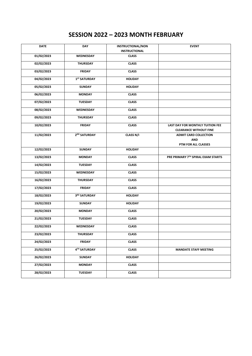# **SESSION 2022 – 2023 MONTH FEBRUARY**

| <b>DATE</b> | <b>DAY</b>               | <b>INSTRUCTIONAL/NON</b><br><b>INSTRUCTIONAL</b> | <b>EVENT</b>                                                      |
|-------------|--------------------------|--------------------------------------------------|-------------------------------------------------------------------|
| 01/02/2023  | WEDNESDAY                | <b>CLASS</b>                                     |                                                                   |
| 02/02/2023  | <b>THURSDAY</b>          | <b>CLASS</b>                                     |                                                                   |
| 03/02/2023  | <b>FRIDAY</b>            | <b>CLASS</b>                                     |                                                                   |
| 04/02/2023  | 1 <sup>ST</sup> SATURDAY | <b>HOLIDAY</b>                                   |                                                                   |
| 05/02/2023  | <b>SUNDAY</b>            | <b>HOLIDAY</b>                                   |                                                                   |
| 06/02/2023  | <b>MONDAY</b>            | <b>CLASS</b>                                     |                                                                   |
| 07/02/2023  | <b>TUESDAY</b>           | <b>CLASS</b>                                     |                                                                   |
| 08/02/2023  | WEDNESDAY                | <b>CLASS</b>                                     |                                                                   |
| 09/02/2023  | <b>THURSDAY</b>          | <b>CLASS</b>                                     |                                                                   |
| 10/02/2023  | <b>FRIDAY</b>            | <b>CLASS</b>                                     | LAST DAY FOR MONTHLY TUITION FEE<br><b>CLEARANCE WITHOUT FINE</b> |
| 11/02/2023  | 2 <sup>ND</sup> SATURDAY | CLASS N/I                                        | <b>ADMIT CARD COLLECTION</b><br><b>AND</b><br>PTM FOR ALL CLASSES |
| 12/02/2023  | <b>SUNDAY</b>            | <b>HOLIDAY</b>                                   |                                                                   |
| 13/02/2023  | <b>MONDAY</b>            | <b>CLASS</b>                                     | PRE PRIMARY 7TH SPIRAL EXAM STARTS                                |
| 14/02/2023  | <b>TUESDAY</b>           | <b>CLASS</b>                                     |                                                                   |
| 15/02/2023  | WEDNESDAY                | <b>CLASS</b>                                     |                                                                   |
| 16/02/2023  | <b>THURSDAY</b>          | <b>CLASS</b>                                     |                                                                   |
| 17/02/2023  | <b>FRIDAY</b>            | <b>CLASS</b>                                     |                                                                   |
| 18/02/2023  | 3RD SATURDAY             | <b>HOLIDAY</b>                                   |                                                                   |
| 19/02/2023  | <b>SUNDAY</b>            | <b>HOLIDAY</b>                                   |                                                                   |
| 20/02/2023  | <b>MONDAY</b>            | <b>CLASS</b>                                     |                                                                   |
| 21/02/2023  | <b>TUESDAY</b>           | <b>CLASS</b>                                     |                                                                   |
| 22/02/2023  | <b>WEDNESDAY</b>         | <b>CLASS</b>                                     |                                                                   |
| 23/02/2023  | THURSDAY                 | <b>CLASS</b>                                     |                                                                   |
| 24/02/2023  | <b>FRIDAY</b>            | <b>CLASS</b>                                     |                                                                   |
| 25/02/2023  | 4™ SATURDAY              | <b>CLASS</b>                                     | <b>MANDATE STAFF MEETING</b>                                      |
| 26/02/2023  | <b>SUNDAY</b>            | <b>HOLIDAY</b>                                   |                                                                   |
| 27/02/2023  | <b>MONDAY</b>            | <b>CLASS</b>                                     |                                                                   |
| 28/02/2023  | TUESDAY                  | <b>CLASS</b>                                     |                                                                   |